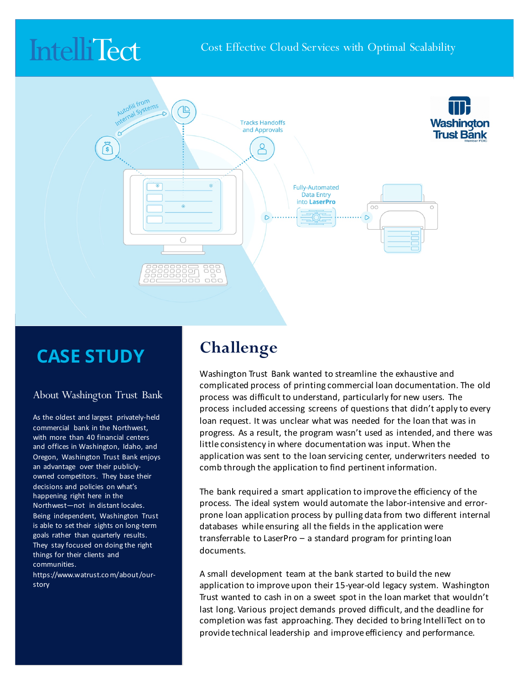# **IntelliTect**



### **CASE STUDY**

#### About Washington Trust Bank

As the oldest and largest privately-held commercial bank in the Northwest. with more than 40 financial centers and offices in Washington, Idaho, and Oregon, Washington Trust Bank enjoys an advantage over their publiclyowned competitors. They base their decisions and policies on what's happening right here in the Northwest-not in distant locales. Being independent, Washington Trust is able to set their sights on long-term goals rather than quarterly results. They stay focused on doing the right things for their clients and communities. 

https://www.watrust.co m/about /ourstory

#### **Challenge**

Washington Trust Bank wanted to streamline the exhaustive and complicated process of printing commercial loan documentation. The old process was difficult to understand, particularly for new users. The process included accessing screens of questions that didn't apply to every loan request. It was unclear what was needed for the loan that was in progress. As a result, the program wasn't used as intended, and there was little consistency in where documentation was input. When the application was sent to the loan servicing center, underwriters needed to comb through the application to find pertinent information.

The bank required a smart application to improve the efficiency of the process. The ideal system would automate the labor-intensive and errorprone loan application process by pulling data from two different internal databases while ensuring all the fields in the application were transferrable to LaserPro  $-$  a standard program for printing loan documents.

A small development team at the bank started to build the new application to improve upon their 15-year-old legacy system. Washington Trust wanted to cash in on a sweet spot in the loan market that wouldn't last long. Various project demands proved difficult, and the deadline for completion was fast approaching. They decided to bring IntelliTect on to provide technical leadership and improve efficiency and performance.